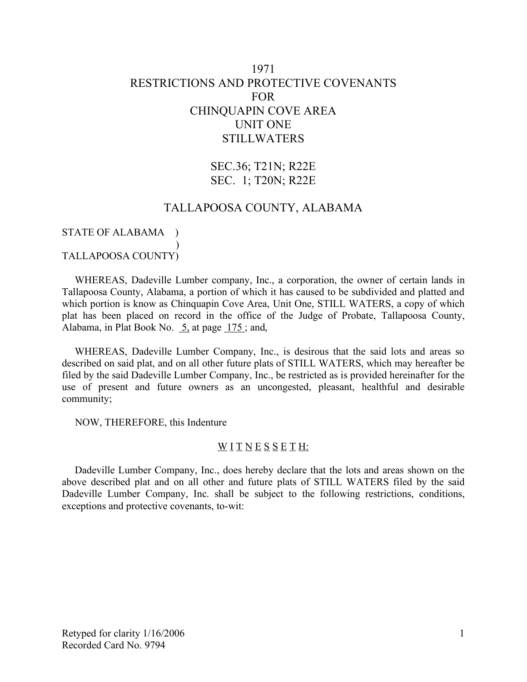# 1971 RESTRICTIONS AND PROTECTIVE COVENANTS FOR CHINQUAPIN COVE AREA UNIT ONE STILLWATERS

SEC.36; T21N; R22E SEC. 1; T20N; R22E

### TALLAPOOSA COUNTY, ALABAMA

# STATE OF ALABAMA ) )

TALLAPOOSA COUNTY)

WHEREAS, Dadeville Lumber company, Inc., a corporation, the owner of certain lands in Tallapoosa County, Alabama, a portion of which it has caused to be subdivided and platted and which portion is know as Chinquapin Cove Area, Unit One, STILL WATERS, a copy of which plat has been placed on record in the office of the Judge of Probate, Tallapoosa County, Alabama, in Plat Book No. 5, at page 175 ; and,

WHEREAS, Dadeville Lumber Company, Inc., is desirous that the said lots and areas so described on said plat, and on all other future plats of STILL WATERS, which may hereafter be filed by the said Dadeville Lumber Company, Inc., be restricted as is provided hereinafter for the use of present and future owners as an uncongested, pleasant, healthful and desirable community;

NOW, THEREFORE, this Indenture

### $\underline{W}$  <u>I T N E S S E T H:</u>

Dadeville Lumber Company, Inc., does hereby declare that the lots and areas shown on the above described plat and on all other and future plats of STILL WATERS filed by the said Dadeville Lumber Company, Inc. shall be subject to the following restrictions, conditions, exceptions and protective covenants, to-wit: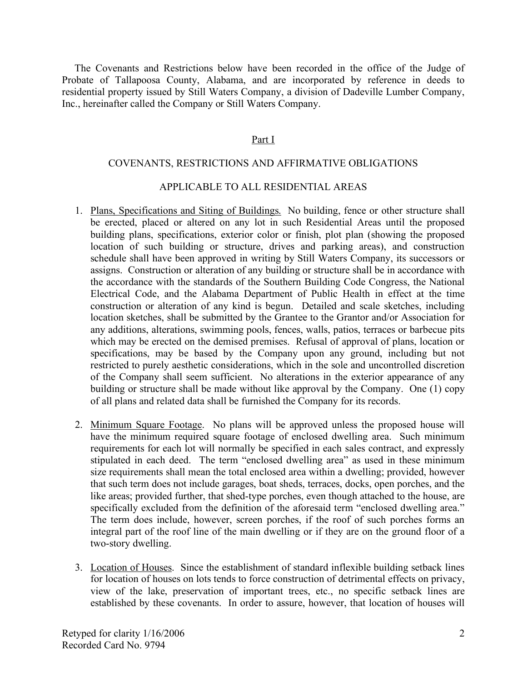The Covenants and Restrictions below have been recorded in the office of the Judge of Probate of Tallapoosa County, Alabama, and are incorporated by reference in deeds to residential property issued by Still Waters Company, a division of Dadeville Lumber Company, Inc., hereinafter called the Company or Still Waters Company.

### Part I

#### COVENANTS, RESTRICTIONS AND AFFIRMATIVE OBLIGATIONS

#### APPLICABLE TO ALL RESIDENTIAL AREAS

- 1. Plans, Specifications and Siting of Buildings. No building, fence or other structure shall be erected, placed or altered on any lot in such Residential Areas until the proposed building plans, specifications, exterior color or finish, plot plan (showing the proposed location of such building or structure, drives and parking areas), and construction schedule shall have been approved in writing by Still Waters Company, its successors or assigns. Construction or alteration of any building or structure shall be in accordance with the accordance with the standards of the Southern Building Code Congress, the National Electrical Code, and the Alabama Department of Public Health in effect at the time construction or alteration of any kind is begun. Detailed and scale sketches, including location sketches, shall be submitted by the Grantee to the Grantor and/or Association for any additions, alterations, swimming pools, fences, walls, patios, terraces or barbecue pits which may be erected on the demised premises. Refusal of approval of plans, location or specifications, may be based by the Company upon any ground, including but not restricted to purely aesthetic considerations, which in the sole and uncontrolled discretion of the Company shall seem sufficient. No alterations in the exterior appearance of any building or structure shall be made without like approval by the Company. One (1) copy of all plans and related data shall be furnished the Company for its records.
- 2. Minimum Square Footage. No plans will be approved unless the proposed house will have the minimum required square footage of enclosed dwelling area. Such minimum requirements for each lot will normally be specified in each sales contract, and expressly stipulated in each deed. The term "enclosed dwelling area" as used in these minimum size requirements shall mean the total enclosed area within a dwelling; provided, however that such term does not include garages, boat sheds, terraces, docks, open porches, and the like areas; provided further, that shed-type porches, even though attached to the house, are specifically excluded from the definition of the aforesaid term "enclosed dwelling area." The term does include, however, screen porches, if the roof of such porches forms an integral part of the roof line of the main dwelling or if they are on the ground floor of a two-story dwelling.
- 3. Location of Houses. Since the establishment of standard inflexible building setback lines for location of houses on lots tends to force construction of detrimental effects on privacy, view of the lake, preservation of important trees, etc., no specific setback lines are established by these covenants. In order to assure, however, that location of houses will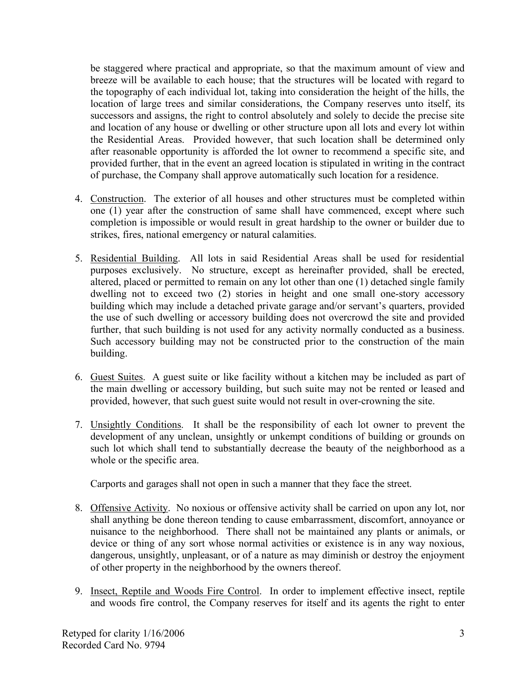be staggered where practical and appropriate, so that the maximum amount of view and breeze will be available to each house; that the structures will be located with regard to the topography of each individual lot, taking into consideration the height of the hills, the location of large trees and similar considerations, the Company reserves unto itself, its successors and assigns, the right to control absolutely and solely to decide the precise site and location of any house or dwelling or other structure upon all lots and every lot within the Residential Areas. Provided however, that such location shall be determined only after reasonable opportunity is afforded the lot owner to recommend a specific site, and provided further, that in the event an agreed location is stipulated in writing in the contract of purchase, the Company shall approve automatically such location for a residence.

- 4. Construction. The exterior of all houses and other structures must be completed within one (1) year after the construction of same shall have commenced, except where such completion is impossible or would result in great hardship to the owner or builder due to strikes, fires, national emergency or natural calamities.
- 5. Residential Building. All lots in said Residential Areas shall be used for residential purposes exclusively. No structure, except as hereinafter provided, shall be erected, altered, placed or permitted to remain on any lot other than one (1) detached single family dwelling not to exceed two (2) stories in height and one small one-story accessory building which may include a detached private garage and/or servant's quarters, provided the use of such dwelling or accessory building does not overcrowd the site and provided further, that such building is not used for any activity normally conducted as a business. Such accessory building may not be constructed prior to the construction of the main building.
- 6. Guest Suites. A guest suite or like facility without a kitchen may be included as part of the main dwelling or accessory building, but such suite may not be rented or leased and provided, however, that such guest suite would not result in over-crowning the site.
- 7. Unsightly Conditions. It shall be the responsibility of each lot owner to prevent the development of any unclean, unsightly or unkempt conditions of building or grounds on such lot which shall tend to substantially decrease the beauty of the neighborhood as a whole or the specific area.

Carports and garages shall not open in such a manner that they face the street.

- 8. Offensive Activity. No noxious or offensive activity shall be carried on upon any lot, nor shall anything be done thereon tending to cause embarrassment, discomfort, annoyance or nuisance to the neighborhood. There shall not be maintained any plants or animals, or device or thing of any sort whose normal activities or existence is in any way noxious, dangerous, unsightly, unpleasant, or of a nature as may diminish or destroy the enjoyment of other property in the neighborhood by the owners thereof.
- 9. Insect, Reptile and Woods Fire Control. In order to implement effective insect, reptile and woods fire control, the Company reserves for itself and its agents the right to enter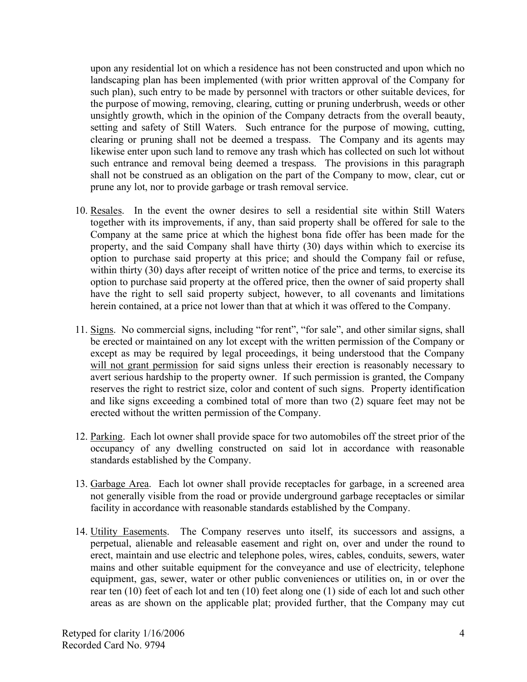upon any residential lot on which a residence has not been constructed and upon which no landscaping plan has been implemented (with prior written approval of the Company for such plan), such entry to be made by personnel with tractors or other suitable devices, for the purpose of mowing, removing, clearing, cutting or pruning underbrush, weeds or other unsightly growth, which in the opinion of the Company detracts from the overall beauty, setting and safety of Still Waters. Such entrance for the purpose of mowing, cutting, clearing or pruning shall not be deemed a trespass. The Company and its agents may likewise enter upon such land to remove any trash which has collected on such lot without such entrance and removal being deemed a trespass. The provisions in this paragraph shall not be construed as an obligation on the part of the Company to mow, clear, cut or prune any lot, nor to provide garbage or trash removal service.

- 10. Resales. In the event the owner desires to sell a residential site within Still Waters together with its improvements, if any, than said property shall be offered for sale to the Company at the same price at which the highest bona fide offer has been made for the property, and the said Company shall have thirty (30) days within which to exercise its option to purchase said property at this price; and should the Company fail or refuse, within thirty (30) days after receipt of written notice of the price and terms, to exercise its option to purchase said property at the offered price, then the owner of said property shall have the right to sell said property subject, however, to all covenants and limitations herein contained, at a price not lower than that at which it was offered to the Company.
- 11. Signs. No commercial signs, including "for rent", "for sale", and other similar signs, shall be erected or maintained on any lot except with the written permission of the Company or except as may be required by legal proceedings, it being understood that the Company will not grant permission for said signs unless their erection is reasonably necessary to avert serious hardship to the property owner. If such permission is granted, the Company reserves the right to restrict size, color and content of such signs. Property identification and like signs exceeding a combined total of more than two (2) square feet may not be erected without the written permission of the Company.
- 12. Parking. Each lot owner shall provide space for two automobiles off the street prior of the occupancy of any dwelling constructed on said lot in accordance with reasonable standards established by the Company.
- 13. Garbage Area. Each lot owner shall provide receptacles for garbage, in a screened area not generally visible from the road or provide underground garbage receptacles or similar facility in accordance with reasonable standards established by the Company.
- 14. Utility Easements. The Company reserves unto itself, its successors and assigns, a perpetual, alienable and releasable easement and right on, over and under the round to erect, maintain and use electric and telephone poles, wires, cables, conduits, sewers, water mains and other suitable equipment for the conveyance and use of electricity, telephone equipment, gas, sewer, water or other public conveniences or utilities on, in or over the rear ten (10) feet of each lot and ten (10) feet along one (1) side of each lot and such other areas as are shown on the applicable plat; provided further, that the Company may cut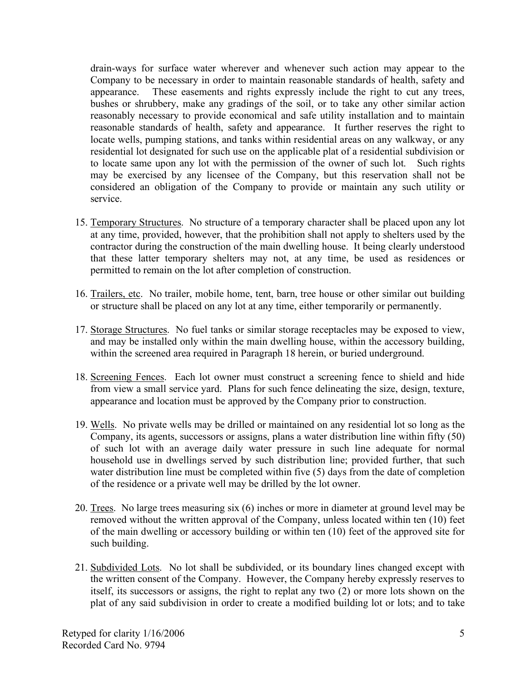drain-ways for surface water wherever and whenever such action may appear to the Company to be necessary in order to maintain reasonable standards of health, safety and appearance. These easements and rights expressly include the right to cut any trees, bushes or shrubbery, make any gradings of the soil, or to take any other similar action reasonably necessary to provide economical and safe utility installation and to maintain reasonable standards of health, safety and appearance. It further reserves the right to locate wells, pumping stations, and tanks within residential areas on any walkway, or any residential lot designated for such use on the applicable plat of a residential subdivision or to locate same upon any lot with the permission of the owner of such lot. Such rights may be exercised by any licensee of the Company, but this reservation shall not be considered an obligation of the Company to provide or maintain any such utility or service.

- 15. Temporary Structures. No structure of a temporary character shall be placed upon any lot at any time, provided, however, that the prohibition shall not apply to shelters used by the contractor during the construction of the main dwelling house. It being clearly understood that these latter temporary shelters may not, at any time, be used as residences or permitted to remain on the lot after completion of construction.
- 16. Trailers, etc. No trailer, mobile home, tent, barn, tree house or other similar out building or structure shall be placed on any lot at any time, either temporarily or permanently.
- 17. Storage Structures. No fuel tanks or similar storage receptacles may be exposed to view, and may be installed only within the main dwelling house, within the accessory building, within the screened area required in Paragraph 18 herein, or buried underground.
- 18. Screening Fences. Each lot owner must construct a screening fence to shield and hide from view a small service yard. Plans for such fence delineating the size, design, texture, appearance and location must be approved by the Company prior to construction.
- 19. Wells. No private wells may be drilled or maintained on any residential lot so long as the Company, its agents, successors or assigns, plans a water distribution line within fifty (50) of such lot with an average daily water pressure in such line adequate for normal household use in dwellings served by such distribution line; provided further, that such water distribution line must be completed within five (5) days from the date of completion of the residence or a private well may be drilled by the lot owner.
- 20. Trees. No large trees measuring six (6) inches or more in diameter at ground level may be removed without the written approval of the Company, unless located within ten (10) feet of the main dwelling or accessory building or within ten (10) feet of the approved site for such building.
- 21. Subdivided Lots. No lot shall be subdivided, or its boundary lines changed except with the written consent of the Company. However, the Company hereby expressly reserves to itself, its successors or assigns, the right to replat any two (2) or more lots shown on the plat of any said subdivision in order to create a modified building lot or lots; and to take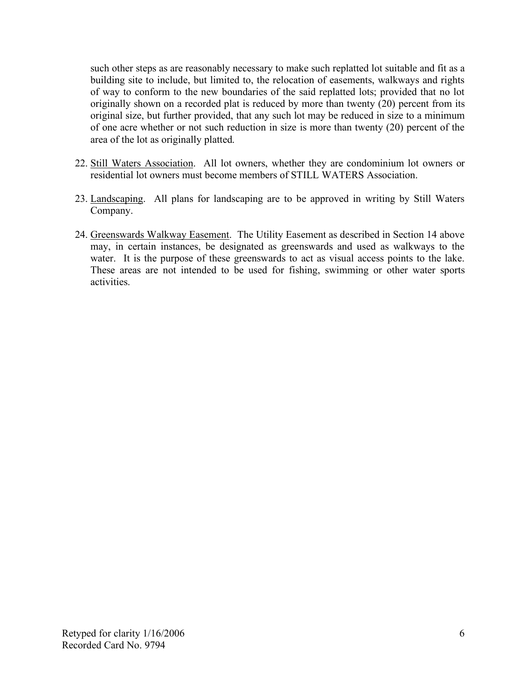such other steps as are reasonably necessary to make such replatted lot suitable and fit as a building site to include, but limited to, the relocation of easements, walkways and rights of way to conform to the new boundaries of the said replatted lots; provided that no lot originally shown on a recorded plat is reduced by more than twenty (20) percent from its original size, but further provided, that any such lot may be reduced in size to a minimum of one acre whether or not such reduction in size is more than twenty (20) percent of the area of the lot as originally platted.

- 22. Still Waters Association. All lot owners, whether they are condominium lot owners or residential lot owners must become members of STILL WATERS Association.
- 23. Landscaping. All plans for landscaping are to be approved in writing by Still Waters Company.
- 24. Greenswards Walkway Easement. The Utility Easement as described in Section 14 above may, in certain instances, be designated as greenswards and used as walkways to the water. It is the purpose of these greenswards to act as visual access points to the lake. These areas are not intended to be used for fishing, swimming or other water sports activities.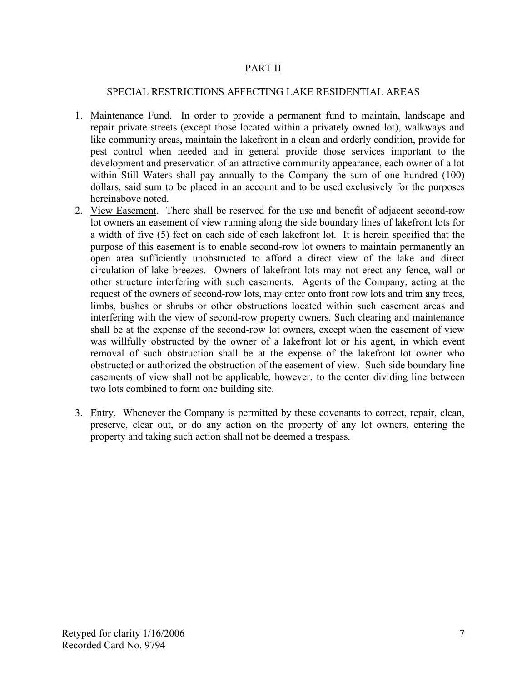## PART II

## SPECIAL RESTRICTIONS AFFECTING LAKE RESIDENTIAL AREAS

- 1. Maintenance Fund. In order to provide a permanent fund to maintain, landscape and repair private streets (except those located within a privately owned lot), walkways and like community areas, maintain the lakefront in a clean and orderly condition, provide for pest control when needed and in general provide those services important to the development and preservation of an attractive community appearance, each owner of a lot within Still Waters shall pay annually to the Company the sum of one hundred (100) dollars, said sum to be placed in an account and to be used exclusively for the purposes hereinabove noted.
- 2. View Easement. There shall be reserved for the use and benefit of adjacent second-row lot owners an easement of view running along the side boundary lines of lakefront lots for a width of five (5) feet on each side of each lakefront lot. It is herein specified that the purpose of this easement is to enable second-row lot owners to maintain permanently an open area sufficiently unobstructed to afford a direct view of the lake and direct circulation of lake breezes. Owners of lakefront lots may not erect any fence, wall or other structure interfering with such easements. Agents of the Company, acting at the request of the owners of second-row lots, may enter onto front row lots and trim any trees, limbs, bushes or shrubs or other obstructions located within such easement areas and interfering with the view of second-row property owners. Such clearing and maintenance shall be at the expense of the second-row lot owners, except when the easement of view was willfully obstructed by the owner of a lakefront lot or his agent, in which event removal of such obstruction shall be at the expense of the lakefront lot owner who obstructed or authorized the obstruction of the easement of view. Such side boundary line easements of view shall not be applicable, however, to the center dividing line between two lots combined to form one building site.
- 3. Entry. Whenever the Company is permitted by these covenants to correct, repair, clean, preserve, clear out, or do any action on the property of any lot owners, entering the property and taking such action shall not be deemed a trespass.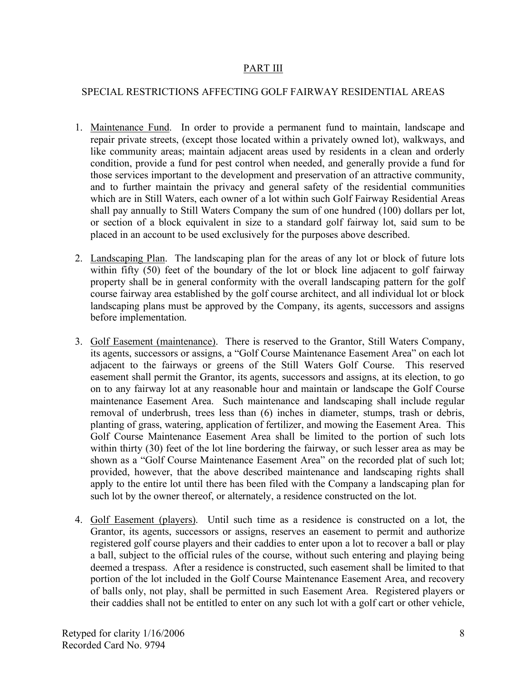# PART III

# SPECIAL RESTRICTIONS AFFECTING GOLF FAIRWAY RESIDENTIAL AREAS

- 1. Maintenance Fund. In order to provide a permanent fund to maintain, landscape and repair private streets, (except those located within a privately owned lot), walkways, and like community areas; maintain adjacent areas used by residents in a clean and orderly condition, provide a fund for pest control when needed, and generally provide a fund for those services important to the development and preservation of an attractive community, and to further maintain the privacy and general safety of the residential communities which are in Still Waters, each owner of a lot within such Golf Fairway Residential Areas shall pay annually to Still Waters Company the sum of one hundred (100) dollars per lot, or section of a block equivalent in size to a standard golf fairway lot, said sum to be placed in an account to be used exclusively for the purposes above described.
- 2. Landscaping Plan. The landscaping plan for the areas of any lot or block of future lots within fifty (50) feet of the boundary of the lot or block line adjacent to golf fairway property shall be in general conformity with the overall landscaping pattern for the golf course fairway area established by the golf course architect, and all individual lot or block landscaping plans must be approved by the Company, its agents, successors and assigns before implementation.
- 3. Golf Easement (maintenance). There is reserved to the Grantor, Still Waters Company, its agents, successors or assigns, a "Golf Course Maintenance Easement Area" on each lot adjacent to the fairways or greens of the Still Waters Golf Course. This reserved easement shall permit the Grantor, its agents, successors and assigns, at its election, to go on to any fairway lot at any reasonable hour and maintain or landscape the Golf Course maintenance Easement Area. Such maintenance and landscaping shall include regular removal of underbrush, trees less than (6) inches in diameter, stumps, trash or debris, planting of grass, watering, application of fertilizer, and mowing the Easement Area. This Golf Course Maintenance Easement Area shall be limited to the portion of such lots within thirty (30) feet of the lot line bordering the fairway, or such lesser area as may be shown as a "Golf Course Maintenance Easement Area" on the recorded plat of such lot; provided, however, that the above described maintenance and landscaping rights shall apply to the entire lot until there has been filed with the Company a landscaping plan for such lot by the owner thereof, or alternately, a residence constructed on the lot.
- 4. Golf Easement (players). Until such time as a residence is constructed on a lot, the Grantor, its agents, successors or assigns, reserves an easement to permit and authorize registered golf course players and their caddies to enter upon a lot to recover a ball or play a ball, subject to the official rules of the course, without such entering and playing being deemed a trespass. After a residence is constructed, such easement shall be limited to that portion of the lot included in the Golf Course Maintenance Easement Area, and recovery of balls only, not play, shall be permitted in such Easement Area. Registered players or their caddies shall not be entitled to enter on any such lot with a golf cart or other vehicle,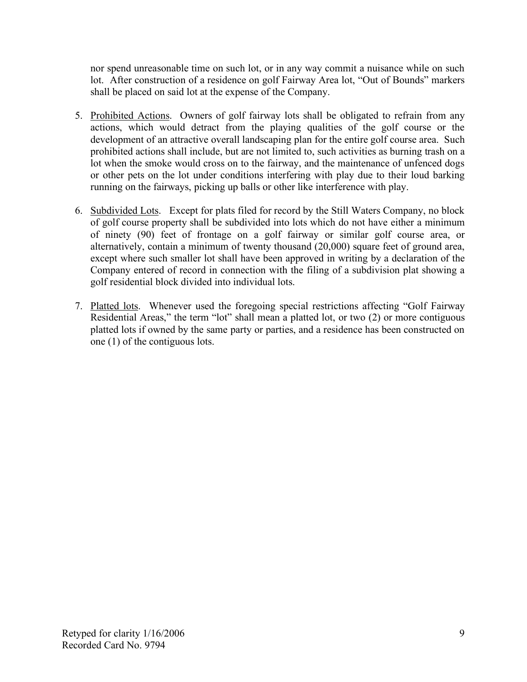nor spend unreasonable time on such lot, or in any way commit a nuisance while on such lot. After construction of a residence on golf Fairway Area lot, "Out of Bounds" markers shall be placed on said lot at the expense of the Company.

- 5. Prohibited Actions. Owners of golf fairway lots shall be obligated to refrain from any actions, which would detract from the playing qualities of the golf course or the development of an attractive overall landscaping plan for the entire golf course area. Such prohibited actions shall include, but are not limited to, such activities as burning trash on a lot when the smoke would cross on to the fairway, and the maintenance of unfenced dogs or other pets on the lot under conditions interfering with play due to their loud barking running on the fairways, picking up balls or other like interference with play.
- 6. Subdivided Lots. Except for plats filed for record by the Still Waters Company, no block of golf course property shall be subdivided into lots which do not have either a minimum of ninety (90) feet of frontage on a golf fairway or similar golf course area, or alternatively, contain a minimum of twenty thousand (20,000) square feet of ground area, except where such smaller lot shall have been approved in writing by a declaration of the Company entered of record in connection with the filing of a subdivision plat showing a golf residential block divided into individual lots.
- 7. Platted lots. Whenever used the foregoing special restrictions affecting "Golf Fairway Residential Areas," the term "lot" shall mean a platted lot, or two (2) or more contiguous platted lots if owned by the same party or parties, and a residence has been constructed on one (1) of the contiguous lots.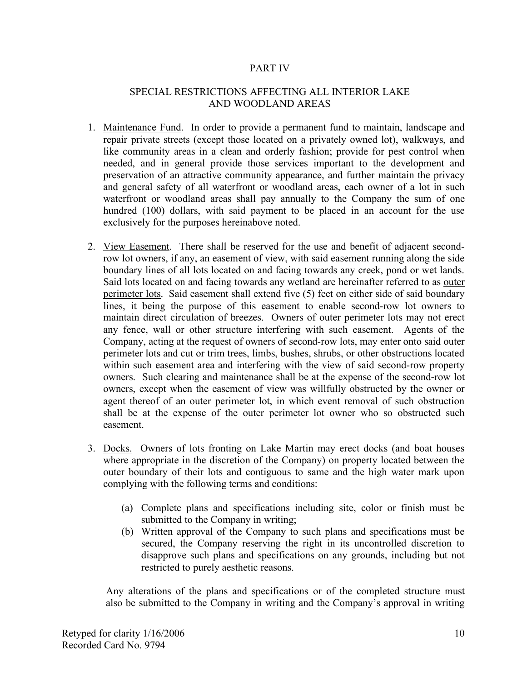## PART IV

### SPECIAL RESTRICTIONS AFFECTING ALL INTERIOR LAKE AND WOODLAND AREAS

- 1. Maintenance Fund. In order to provide a permanent fund to maintain, landscape and repair private streets (except those located on a privately owned lot), walkways, and like community areas in a clean and orderly fashion; provide for pest control when needed, and in general provide those services important to the development and preservation of an attractive community appearance, and further maintain the privacy and general safety of all waterfront or woodland areas, each owner of a lot in such waterfront or woodland areas shall pay annually to the Company the sum of one hundred (100) dollars, with said payment to be placed in an account for the use exclusively for the purposes hereinabove noted.
- 2. View Easement. There shall be reserved for the use and benefit of adjacent secondrow lot owners, if any, an easement of view, with said easement running along the side boundary lines of all lots located on and facing towards any creek, pond or wet lands. Said lots located on and facing towards any wetland are hereinafter referred to as outer perimeter lots. Said easement shall extend five (5) feet on either side of said boundary lines, it being the purpose of this easement to enable second-row lot owners to maintain direct circulation of breezes. Owners of outer perimeter lots may not erect any fence, wall or other structure interfering with such easement. Agents of the Company, acting at the request of owners of second-row lots, may enter onto said outer perimeter lots and cut or trim trees, limbs, bushes, shrubs, or other obstructions located within such easement area and interfering with the view of said second-row property owners. Such clearing and maintenance shall be at the expense of the second-row lot owners, except when the easement of view was willfully obstructed by the owner or agent thereof of an outer perimeter lot, in which event removal of such obstruction shall be at the expense of the outer perimeter lot owner who so obstructed such easement.
- 3. Docks. Owners of lots fronting on Lake Martin may erect docks (and boat houses where appropriate in the discretion of the Company) on property located between the outer boundary of their lots and contiguous to same and the high water mark upon complying with the following terms and conditions:
	- (a) Complete plans and specifications including site, color or finish must be submitted to the Company in writing;
	- (b) Written approval of the Company to such plans and specifications must be secured, the Company reserving the right in its uncontrolled discretion to disapprove such plans and specifications on any grounds, including but not restricted to purely aesthetic reasons.

Any alterations of the plans and specifications or of the completed structure must also be submitted to the Company in writing and the Company's approval in writing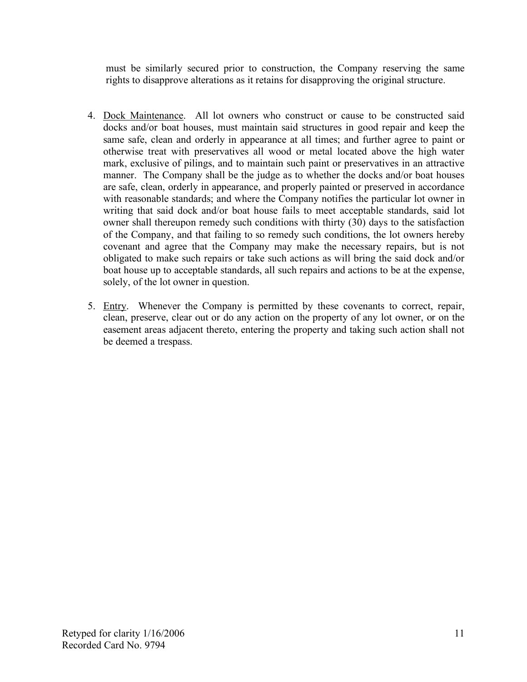must be similarly secured prior to construction, the Company reserving the same rights to disapprove alterations as it retains for disapproving the original structure.

- 4. Dock Maintenance. All lot owners who construct or cause to be constructed said docks and/or boat houses, must maintain said structures in good repair and keep the same safe, clean and orderly in appearance at all times; and further agree to paint or otherwise treat with preservatives all wood or metal located above the high water mark, exclusive of pilings, and to maintain such paint or preservatives in an attractive manner. The Company shall be the judge as to whether the docks and/or boat houses are safe, clean, orderly in appearance, and properly painted or preserved in accordance with reasonable standards; and where the Company notifies the particular lot owner in writing that said dock and/or boat house fails to meet acceptable standards, said lot owner shall thereupon remedy such conditions with thirty (30) days to the satisfaction of the Company, and that failing to so remedy such conditions, the lot owners hereby covenant and agree that the Company may make the necessary repairs, but is not obligated to make such repairs or take such actions as will bring the said dock and/or boat house up to acceptable standards, all such repairs and actions to be at the expense, solely, of the lot owner in question.
- 5. Entry. Whenever the Company is permitted by these covenants to correct, repair, clean, preserve, clear out or do any action on the property of any lot owner, or on the easement areas adjacent thereto, entering the property and taking such action shall not be deemed a trespass.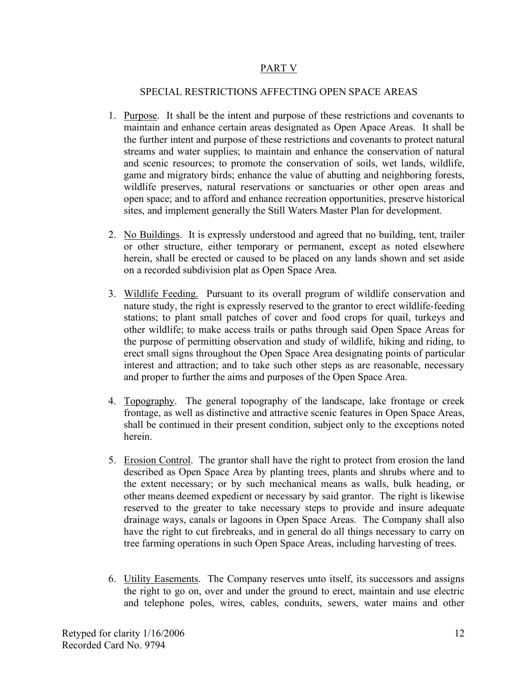# PART V

## SPECIAL RESTRICTIONS AFFECTING OPEN SPACE AREAS

- 1. Purpose. It shall be the intent and purpose of these restrictions and covenants to maintain and enhance certain areas designated as Open Apace Areas. It shall be the further intent and purpose of these restrictions and covenants to protect natural streams and water supplies; to maintain and enhance the conservation of natural and scenic resources; to promote the conservation of soils, wet lands, wildlife, game and migratory birds; enhance the value of abutting and neighboring forests, wildlife preserves, natural reservations or sanctuaries or other open areas and open space; and to afford and enhance recreation opportunities, preserve historical sites, and implement generally the Still Waters Master Plan for development.
- 2. No Buildings. It is expressly understood and agreed that no building, tent, trailer or other structure, either temporary or permanent, except as noted elsewhere herein, shall be erected or caused to be placed on any lands shown and set aside on a recorded subdivision plat as Open Space Area.
- 3. Wildlife Feeding. Pursuant to its overall program of wildlife conservation and nature study, the right is expressly reserved to the grantor to erect wildlife-feeding stations; to plant small patches of cover and food crops for quail, turkeys and other wildlife; to make access trails or paths through said Open Space Areas for the purpose of permitting observation and study of wildlife, hiking and riding, to erect small signs throughout the Open Space Area designating points of particular interest and attraction; and to take such other steps as are reasonable, necessary and proper to further the aims and purposes of the Open Space Area.
- 4. Topography. The general topography of the landscape, lake frontage or creek frontage, as well as distinctive and attractive scenic features in Open Space Areas, shall be continued in their present condition, subject only to the exceptions noted herein.
- 5. Erosion Control. The grantor shall have the right to protect from erosion the land described as Open Space Area by planting trees, plants and shrubs where and to the extent necessary; or by such mechanical means as walls, bulk heading, or other means deemed expedient or necessary by said grantor. The right is likewise reserved to the greater to take necessary steps to provide and insure adequate drainage ways, canals or lagoons in Open Space Areas. The Company shall also have the right to cut firebreaks, and in general do all things necessary to carry on tree farming operations in such Open Space Areas, including harvesting of trees.
- 6. Utility Easements. The Company reserves unto itself, its successors and assigns the right to go on, over and under the ground to erect, maintain and use electric and telephone poles, wires, cables, conduits, sewers, water mains and other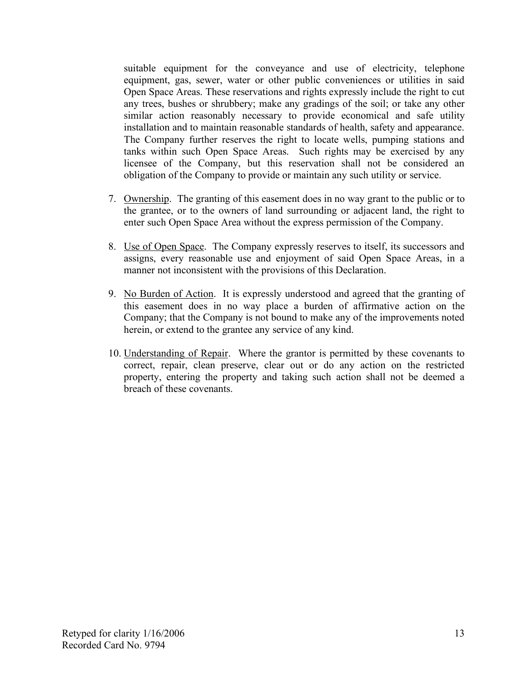suitable equipment for the conveyance and use of electricity, telephone equipment, gas, sewer, water or other public conveniences or utilities in said Open Space Areas. These reservations and rights expressly include the right to cut any trees, bushes or shrubbery; make any gradings of the soil; or take any other similar action reasonably necessary to provide economical and safe utility installation and to maintain reasonable standards of health, safety and appearance. The Company further reserves the right to locate wells, pumping stations and tanks within such Open Space Areas. Such rights may be exercised by any licensee of the Company, but this reservation shall not be considered an obligation of the Company to provide or maintain any such utility or service.

- 7. Ownership. The granting of this easement does in no way grant to the public or to the grantee, or to the owners of land surrounding or adjacent land, the right to enter such Open Space Area without the express permission of the Company.
- 8. Use of Open Space. The Company expressly reserves to itself, its successors and assigns, every reasonable use and enjoyment of said Open Space Areas, in a manner not inconsistent with the provisions of this Declaration.
- 9. No Burden of Action. It is expressly understood and agreed that the granting of this easement does in no way place a burden of affirmative action on the Company; that the Company is not bound to make any of the improvements noted herein, or extend to the grantee any service of any kind.
- 10. Understanding of Repair. Where the grantor is permitted by these covenants to correct, repair, clean preserve, clear out or do any action on the restricted property, entering the property and taking such action shall not be deemed a breach of these covenants.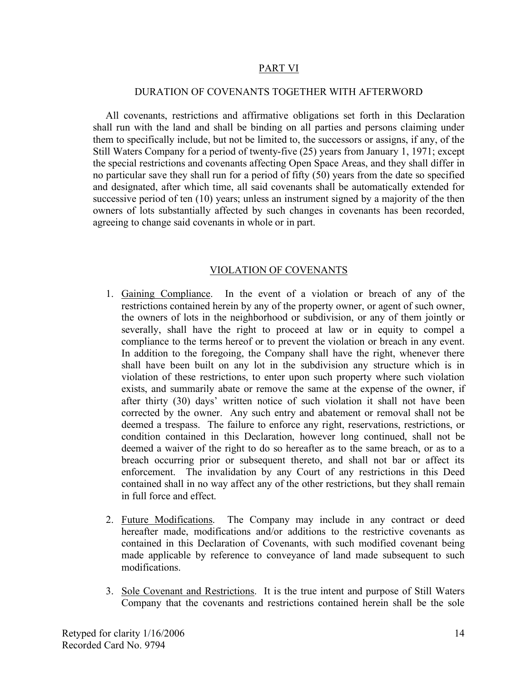### PART VI

#### DURATION OF COVENANTS TOGETHER WITH AFTERWORD

All covenants, restrictions and affirmative obligations set forth in this Declaration shall run with the land and shall be binding on all parties and persons claiming under them to specifically include, but not be limited to, the successors or assigns, if any, of the Still Waters Company for a period of twenty-five (25) years from January 1, 1971; except the special restrictions and covenants affecting Open Space Areas, and they shall differ in no particular save they shall run for a period of fifty (50) years from the date so specified and designated, after which time, all said covenants shall be automatically extended for successive period of ten (10) years; unless an instrument signed by a majority of the then owners of lots substantially affected by such changes in covenants has been recorded, agreeing to change said covenants in whole or in part.

### VIOLATION OF COVENANTS

- 1. Gaining Compliance. In the event of a violation or breach of any of the restrictions contained herein by any of the property owner, or agent of such owner, the owners of lots in the neighborhood or subdivision, or any of them jointly or severally, shall have the right to proceed at law or in equity to compel a compliance to the terms hereof or to prevent the violation or breach in any event. In addition to the foregoing, the Company shall have the right, whenever there shall have been built on any lot in the subdivision any structure which is in violation of these restrictions, to enter upon such property where such violation exists, and summarily abate or remove the same at the expense of the owner, if after thirty (30) days' written notice of such violation it shall not have been corrected by the owner. Any such entry and abatement or removal shall not be deemed a trespass. The failure to enforce any right, reservations, restrictions, or condition contained in this Declaration, however long continued, shall not be deemed a waiver of the right to do so hereafter as to the same breach, or as to a breach occurring prior or subsequent thereto, and shall not bar or affect its enforcement. The invalidation by any Court of any restrictions in this Deed contained shall in no way affect any of the other restrictions, but they shall remain in full force and effect.
- 2. Future Modifications. The Company may include in any contract or deed hereafter made, modifications and/or additions to the restrictive covenants as contained in this Declaration of Covenants, with such modified covenant being made applicable by reference to conveyance of land made subsequent to such modifications.
- 3. Sole Covenant and Restrictions. It is the true intent and purpose of Still Waters Company that the covenants and restrictions contained herein shall be the sole